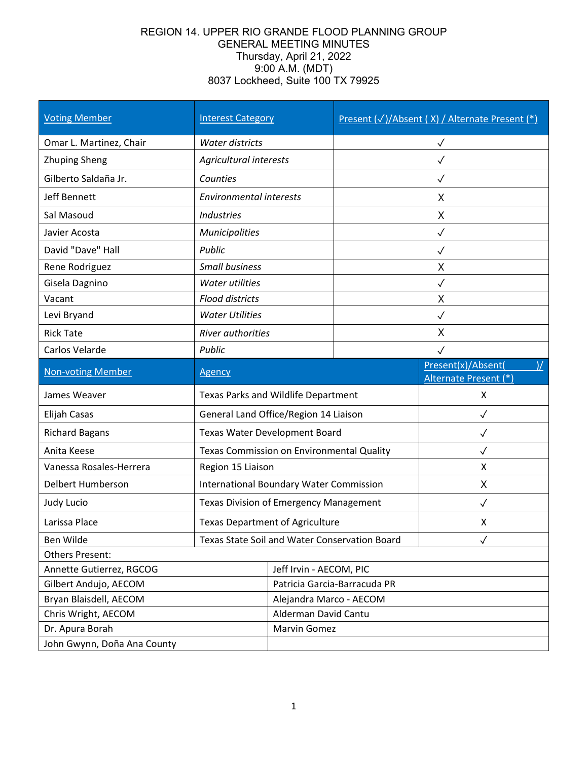## REGION 14. UPPER RIO GRANDE FLOOD PLANNING GROUP GENERAL MEETING MINUTES Thursday, April 21, 2022 9:00 A.M. (MDT) 8037 Lockheed, Suite 100 TX 79925

| <b>Voting Member</b>        | <b>Interest Category</b>                       |                              |              | Present (√)/Absent (X) / Alternate Present (*)               |
|-----------------------------|------------------------------------------------|------------------------------|--------------|--------------------------------------------------------------|
| Omar L. Martinez, Chair     | Water districts                                |                              | $\checkmark$ |                                                              |
| <b>Zhuping Sheng</b>        | Agricultural interests                         |                              |              | $\checkmark$                                                 |
| Gilberto Saldaña Jr.        | Counties                                       |                              | ✓            |                                                              |
| Jeff Bennett                | <b>Environmental interests</b>                 | X                            |              |                                                              |
| Sal Masoud                  | Industries                                     |                              | X            |                                                              |
| Javier Acosta               | Municipalities                                 | $\checkmark$                 |              |                                                              |
| David "Dave" Hall           | Public                                         |                              | $\checkmark$ |                                                              |
| Rene Rodriguez              | <b>Small business</b>                          |                              | X            |                                                              |
| Gisela Dagnino              | Water utilities                                |                              | $\checkmark$ |                                                              |
| Vacant                      | <b>Flood districts</b>                         |                              | X            |                                                              |
| Levi Bryand                 | <b>Water Utilities</b>                         |                              | $\checkmark$ |                                                              |
| <b>Rick Tate</b>            | River authorities                              |                              | X            |                                                              |
| Carlos Velarde              | Public                                         |                              |              |                                                              |
| <b>Non-voting Member</b>    | <b>Agency</b>                                  |                              |              | Present(x)/Absent(<br>$\mathcal{V}$<br>Alternate Present (*) |
| James Weaver                | Texas Parks and Wildlife Department            |                              | X            |                                                              |
| Elijah Casas                | General Land Office/Region 14 Liaison          |                              | $\checkmark$ |                                                              |
| <b>Richard Bagans</b>       | Texas Water Development Board                  |                              | ✓            |                                                              |
| Anita Keese                 | Texas Commission on Environmental Quality      |                              | $\checkmark$ |                                                              |
| Vanessa Rosales-Herrera     | Region 15 Liaison                              |                              | X            |                                                              |
| Delbert Humberson           | <b>International Boundary Water Commission</b> |                              | X            |                                                              |
| Judy Lucio                  | Texas Division of Emergency Management         |                              | $\checkmark$ |                                                              |
| Larissa Place               | <b>Texas Department of Agriculture</b>         |                              | X            |                                                              |
| Ben Wilde                   | Texas State Soil and Water Conservation Board  |                              |              |                                                              |
| <b>Others Present:</b>      |                                                |                              |              |                                                              |
| Annette Gutierrez, RGCOG    |                                                | Jeff Irvin - AECOM, PIC      |              |                                                              |
| Gilbert Andujo, AECOM       |                                                | Patricia Garcia-Barracuda PR |              |                                                              |
| Bryan Blaisdell, AECOM      |                                                | Alejandra Marco - AECOM      |              |                                                              |
| Chris Wright, AECOM         |                                                | Alderman David Cantu         |              |                                                              |
| Dr. Apura Borah             |                                                | Marvin Gomez                 |              |                                                              |
| John Gwynn, Doña Ana County |                                                |                              |              |                                                              |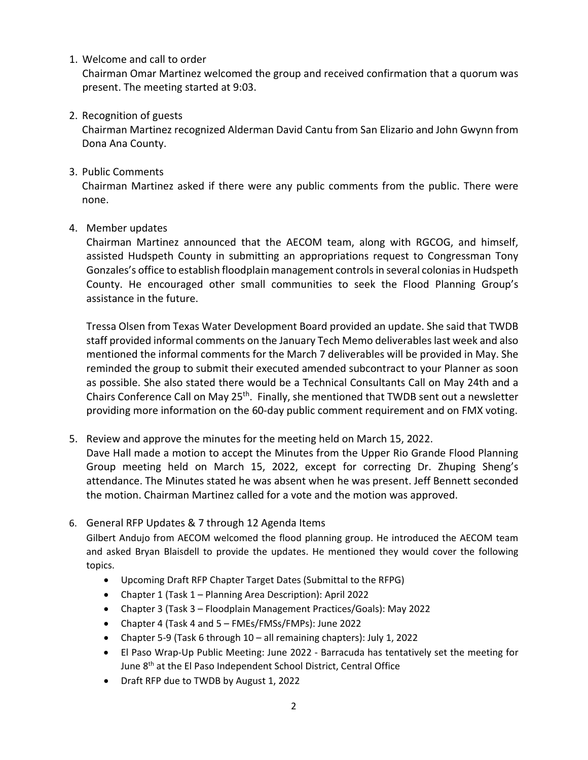1. Welcome and call to order

Chairman Omar Martinez welcomed the group and received confirmation that a quorum was present. The meeting started at 9:03.

2. Recognition of guests

Chairman Martinez recognized Alderman David Cantu from San Elizario and John Gwynn from Dona Ana County.

3. Public Comments

Chairman Martinez asked if there were any public comments from the public. There were none.

4. Member updates

Chairman Martinez announced that the AECOM team, along with RGCOG, and himself, assisted Hudspeth County in submitting an appropriations request to Congressman Tony Gonzales's office to establish floodplain management controls in several colonias in Hudspeth County. He encouraged other small communities to seek the Flood Planning Group's assistance in the future.

Tressa Olsen from Texas Water Development Board provided an update. She said that TWDB staff provided informal comments on the January Tech Memo deliverables last week and also mentioned the informal comments for the March 7 deliverables will be provided in May. She reminded the group to submit their executed amended subcontract to your Planner as soon as possible. She also stated there would be a Technical Consultants Call on May 24th and a Chairs Conference Call on May 25<sup>th</sup>. Finally, she mentioned that TWDB sent out a newsletter providing more information on the 60-day public comment requirement and on FMX voting.

5. Review and approve the minutes for the meeting held on March 15, 2022.

Dave Hall made a motion to accept the Minutes from the Upper Rio Grande Flood Planning Group meeting held on March 15, 2022, except for correcting Dr. Zhuping Sheng's attendance. The Minutes stated he was absent when he was present. Jeff Bennett seconded the motion. Chairman Martinez called for a vote and the motion was approved.

6. General RFP Updates & 7 through 12 Agenda Items

Gilbert Andujo from AECOM welcomed the flood planning group. He introduced the AECOM team and asked Bryan Blaisdell to provide the updates. He mentioned they would cover the following topics.

- Upcoming Draft RFP Chapter Target Dates (Submittal to the RFPG)
- Chapter 1 (Task 1 Planning Area Description): April 2022
- Chapter 3 (Task 3 Floodplain Management Practices/Goals): May 2022
- Chapter 4 (Task 4 and 5 FMEs/FMSs/FMPs): June 2022
- Chapter 5-9 (Task 6 through 10 all remaining chapters): July 1, 2022
- El Paso Wrap-Up Public Meeting: June 2022 Barracuda has tentatively set the meeting for June 8th at the El Paso Independent School District, Central Office
- Draft RFP due to TWDB by August 1, 2022